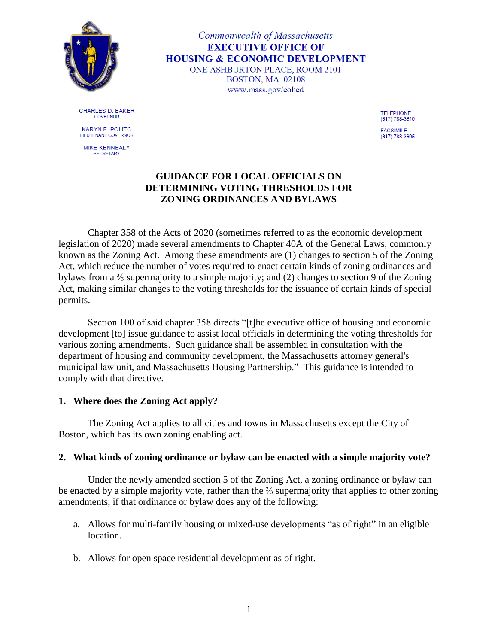

Commonwealth of Massachusetts **EXECUTIVE OFFICE OF HOUSING & ECONOMIC DEVELOPMENT** ONE ASHBURTON PLACE, ROOM 2101 BOSTON, MA 02108 www.mass.gov/eohed

**CHARLES D. BAKER GOVERNOR** 

**KARYN E. POLITO** LIEUTENANT GOVERNOR

**MIKE KENNEALY SECRETARY** 

**TELEPHONE** (617) 788-3610

**FACSIMILE** (617) 788-3605

# **GUIDANCE FOR LOCAL OFFICIALS ON DETERMINING VOTING THRESHOLDS FOR ZONING ORDINANCES AND BYLAWS**

Chapter 358 of the Acts of 2020 (sometimes referred to as the economic development legislation of 2020) made several amendments to Chapter 40A of the General Laws, commonly known as the Zoning Act. Among these amendments are (1) changes to section 5 of the Zoning Act, which reduce the number of votes required to enact certain kinds of zoning ordinances and bylaws from a ⅔ supermajority to a simple majority; and (2) changes to section 9 of the Zoning Act, making similar changes to the voting thresholds for the issuance of certain kinds of special permits.

Section 100 of said chapter 358 directs "[t]he executive office of housing and economic development [to] issue guidance to assist local officials in determining the voting thresholds for various zoning amendments. Such guidance shall be assembled in consultation with the department of housing and community development, the Massachusetts attorney general's municipal law unit, and Massachusetts Housing Partnership." This guidance is intended to comply with that directive.

# **1. Where does the Zoning Act apply?**

The Zoning Act applies to all cities and towns in Massachusetts except the City of Boston, which has its own zoning enabling act.

#### **2. What kinds of zoning ordinance or bylaw can be enacted with a simple majority vote?**

Under the newly amended section 5 of the Zoning Act, a zoning ordinance or bylaw can be enacted by a simple majority vote, rather than the ⅔ supermajority that applies to other zoning amendments, if that ordinance or bylaw does any of the following:

- a. Allows for multi-family housing or mixed-use developments "as of right" in an eligible location.
- b. Allows for open space residential development as of right.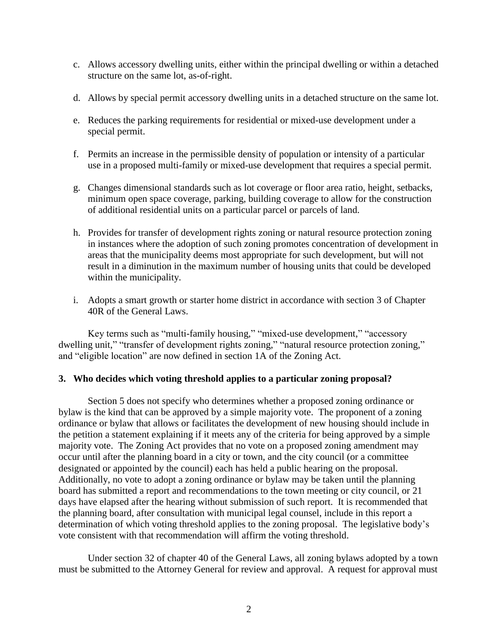- c. Allows accessory dwelling units, either within the principal dwelling or within a detached structure on the same lot, as-of-right.
- d. Allows by special permit accessory dwelling units in a detached structure on the same lot.
- e. Reduces the parking requirements for residential or mixed-use development under a special permit.
- f. Permits an increase in the permissible density of population or intensity of a particular use in a proposed multi-family or mixed-use development that requires a special permit.
- g. Changes dimensional standards such as lot coverage or floor area ratio, height, setbacks, minimum open space coverage, parking, building coverage to allow for the construction of additional residential units on a particular parcel or parcels of land.
- h. Provides for transfer of development rights zoning or natural resource protection zoning in instances where the adoption of such zoning promotes concentration of development in areas that the municipality deems most appropriate for such development, but will not result in a diminution in the maximum number of housing units that could be developed within the municipality.
- i. Adopts a smart growth or starter home district in accordance with section 3 of Chapter 40R of the General Laws.

Key terms such as "multi-family housing," "mixed-use development," "accessory dwelling unit," "transfer of development rights zoning," "natural resource protection zoning," and "eligible location" are now defined in section 1A of the Zoning Act.

#### **3. Who decides which voting threshold applies to a particular zoning proposal?**

Section 5 does not specify who determines whether a proposed zoning ordinance or bylaw is the kind that can be approved by a simple majority vote. The proponent of a zoning ordinance or bylaw that allows or facilitates the development of new housing should include in the petition a statement explaining if it meets any of the criteria for being approved by a simple majority vote. The Zoning Act provides that no vote on a proposed zoning amendment may occur until after the planning board in a city or town, and the city council (or a committee designated or appointed by the council) each has held a public hearing on the proposal. Additionally, no vote to adopt a zoning ordinance or bylaw may be taken until the planning board has submitted a report and recommendations to the town meeting or city council, or 21 days have elapsed after the hearing without submission of such report. It is recommended that the planning board, after consultation with municipal legal counsel, include in this report a determination of which voting threshold applies to the zoning proposal. The legislative body's vote consistent with that recommendation will affirm the voting threshold.

Under section 32 of chapter 40 of the General Laws, all zoning bylaws adopted by a town must be submitted to the Attorney General for review and approval. A request for approval must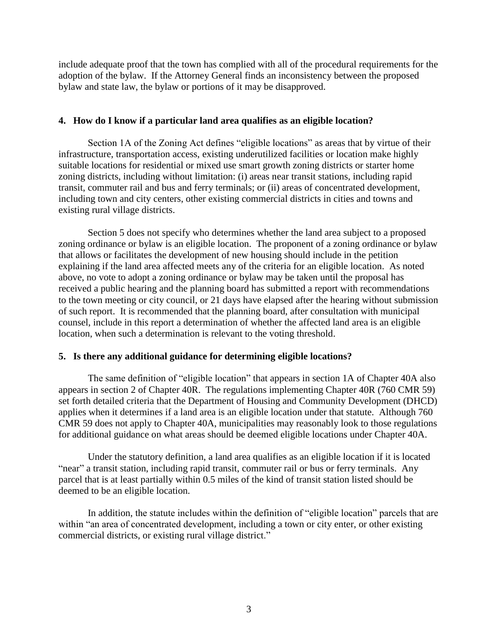include adequate proof that the town has complied with all of the procedural requirements for the adoption of the bylaw. If the Attorney General finds an inconsistency between the proposed bylaw and state law, the bylaw or portions of it may be disapproved.

## **4. How do I know if a particular land area qualifies as an eligible location?**

Section 1A of the Zoning Act defines "eligible locations" as areas that by virtue of their infrastructure, transportation access, existing underutilized facilities or location make highly suitable locations for residential or mixed use smart growth zoning districts or starter home zoning districts, including without limitation: (i) areas near transit stations, including rapid transit, commuter rail and bus and ferry terminals; or (ii) areas of concentrated development, including town and city centers, other existing commercial districts in cities and towns and existing rural village districts.

Section 5 does not specify who determines whether the land area subject to a proposed zoning ordinance or bylaw is an eligible location. The proponent of a zoning ordinance or bylaw that allows or facilitates the development of new housing should include in the petition explaining if the land area affected meets any of the criteria for an eligible location. As noted above, no vote to adopt a zoning ordinance or bylaw may be taken until the proposal has received a public hearing and the planning board has submitted a report with recommendations to the town meeting or city council, or 21 days have elapsed after the hearing without submission of such report. It is recommended that the planning board, after consultation with municipal counsel, include in this report a determination of whether the affected land area is an eligible location, when such a determination is relevant to the voting threshold.

# **5. Is there any additional guidance for determining eligible locations?**

The same definition of "eligible location" that appears in section 1A of Chapter 40A also appears in section 2 of Chapter 40R. The regulations implementing Chapter 40R (760 CMR 59) set forth detailed criteria that the Department of Housing and Community Development (DHCD) applies when it determines if a land area is an eligible location under that statute. Although 760 CMR 59 does not apply to Chapter 40A, municipalities may reasonably look to those regulations for additional guidance on what areas should be deemed eligible locations under Chapter 40A.

Under the statutory definition, a land area qualifies as an eligible location if it is located "near" a transit station, including rapid transit, commuter rail or bus or ferry terminals. Any parcel that is at least partially within 0.5 miles of the kind of transit station listed should be deemed to be an eligible location.

In addition, the statute includes within the definition of "eligible location" parcels that are within "an area of concentrated development, including a town or city enter, or other existing commercial districts, or existing rural village district."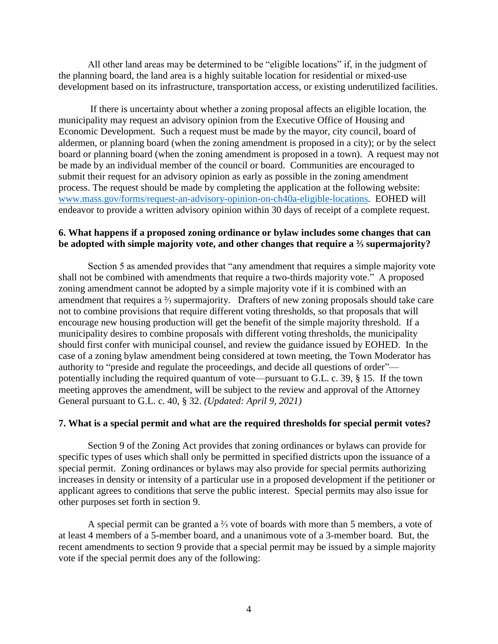All other land areas may be determined to be "eligible locations" if, in the judgment of the planning board, the land area is a highly suitable location for residential or mixed-use development based on its infrastructure, transportation access, or existing underutilized facilities.

If there is uncertainty about whether a zoning proposal affects an eligible location, the municipality may request an advisory opinion from the Executive Office of Housing and Economic Development. Such a request must be made by the mayor, city council, board of aldermen, or planning board (when the zoning amendment is proposed in a city); or by the select board or planning board (when the zoning amendment is proposed in a town). A request may not be made by an individual member of the council or board. Communities are encouraged to submit their request for an advisory opinion as early as possible in the zoning amendment process. The request should be made by completing the application at the following website: [www.mass.gov/forms/request-an-advisory-opinion-on-ch40a-eligible-locations.](https://www.mass.gov/forms/request-an-advisory-opinion-on-ch40a-eligible-locations) EOHED will endeavor to provide a written advisory opinion within 30 days of receipt of a complete request.

## **6. What happens if a proposed zoning ordinance or bylaw includes some changes that can be adopted with simple majority vote, and other changes that require a ⅔ supermajority?**

Section 5 as amended provides that "any amendment that requires a simple majority vote shall not be combined with amendments that require a two-thirds majority vote." A proposed zoning amendment cannot be adopted by a simple majority vote if it is combined with an amendment that requires a ⅔ supermajority. Drafters of new zoning proposals should take care not to combine provisions that require different voting thresholds, so that proposals that will encourage new housing production will get the benefit of the simple majority threshold. If a municipality desires to combine proposals with different voting thresholds, the municipality should first confer with municipal counsel, and review the guidance issued by EOHED. In the case of a zoning bylaw amendment being considered at town meeting, the Town Moderator has authority to "preside and regulate the proceedings, and decide all questions of order" potentially including the required quantum of vote—pursuant to G.L. c. 39, § 15. If the town meeting approves the amendment, will be subject to the review and approval of the Attorney General pursuant to G.L. c. 40, § 32. *(Updated: April 9, 2021)*

#### **7. What is a special permit and what are the required thresholds for special permit votes?**

Section 9 of the Zoning Act provides that zoning ordinances or bylaws can provide for specific types of uses which shall only be permitted in specified districts upon the issuance of a special permit. Zoning ordinances or bylaws may also provide for special permits authorizing increases in density or intensity of a particular use in a proposed development if the petitioner or applicant agrees to conditions that serve the public interest. Special permits may also issue for other purposes set forth in section 9.

A special permit can be granted a  $\frac{2}{3}$  vote of boards with more than 5 members, a vote of at least 4 members of a 5-member board, and a unanimous vote of a 3-member board. But, the recent amendments to section 9 provide that a special permit may be issued by a simple majority vote if the special permit does any of the following: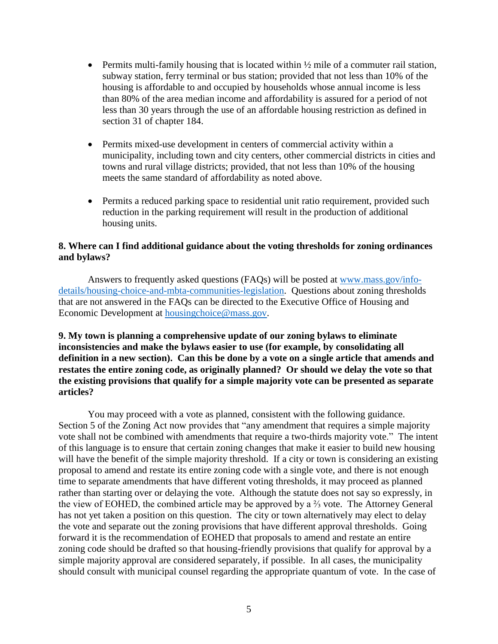- Permits multi-family housing that is located within  $\frac{1}{2}$  mile of a commuter rail station, subway station, ferry terminal or bus station; provided that not less than 10% of the housing is affordable to and occupied by households whose annual income is less than 80% of the area median income and affordability is assured for a period of not less than 30 years through the use of an affordable housing restriction as defined in section 31 of chapter 184.
- Permits mixed-use development in centers of commercial activity within a municipality, including town and city centers, other commercial districts in cities and towns and rural village districts; provided, that not less than 10% of the housing meets the same standard of affordability as noted above.
- Permits a reduced parking space to residential unit ratio requirement, provided such reduction in the parking requirement will result in the production of additional housing units.

## **8. Where can I find additional guidance about the voting thresholds for zoning ordinances and bylaws?**

Answers to frequently asked questions (FAQs) will be posted at [www.mass.gov/info](https://www.mass.gov/info-details/housing-choice-and-mbta-communities-legislation)[details/housing-choice-and-mbta-communities-legislation.](https://www.mass.gov/info-details/housing-choice-and-mbta-communities-legislation) Questions about zoning thresholds that are not answered in the FAQs can be directed to the Executive Office of Housing and Economic Development at [housingchoice@mass.gov.](mailto:housingchoice@mass.gov)

**9. My town is planning a comprehensive update of our zoning bylaws to eliminate inconsistencies and make the bylaws easier to use (for example, by consolidating all definition in a new section). Can this be done by a vote on a single article that amends and restates the entire zoning code, as originally planned? Or should we delay the vote so that the existing provisions that qualify for a simple majority vote can be presented as separate articles?**

You may proceed with a vote as planned, consistent with the following guidance. Section 5 of the Zoning Act now provides that "any amendment that requires a simple majority vote shall not be combined with amendments that require a two-thirds majority vote." The intent of this language is to ensure that certain zoning changes that make it easier to build new housing will have the benefit of the simple majority threshold. If a city or town is considering an existing proposal to amend and restate its entire zoning code with a single vote, and there is not enough time to separate amendments that have different voting thresholds, it may proceed as planned rather than starting over or delaying the vote. Although the statute does not say so expressly, in the view of EOHED, the combined article may be approved by a ⅔ vote. The Attorney General has not yet taken a position on this question. The city or town alternatively may elect to delay the vote and separate out the zoning provisions that have different approval thresholds. Going forward it is the recommendation of EOHED that proposals to amend and restate an entire zoning code should be drafted so that housing-friendly provisions that qualify for approval by a simple majority approval are considered separately, if possible. In all cases, the municipality should consult with municipal counsel regarding the appropriate quantum of vote. In the case of